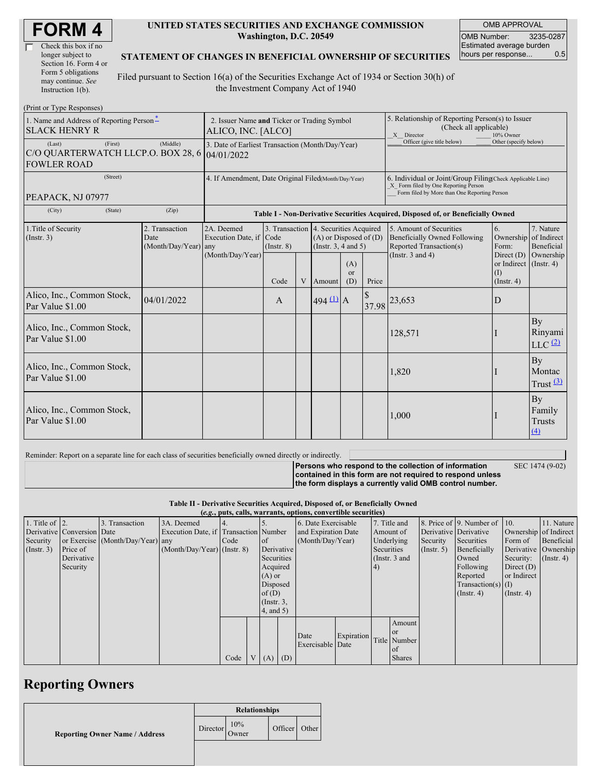| <b>FORM4</b> |
|--------------|
|--------------|

| Check this box if no  |  |
|-----------------------|--|
| longer subject to     |  |
| Section 16. Form 4 or |  |
| Form 5 obligations    |  |
| may continue. See     |  |
| Instruction 1(b).     |  |

#### **UNITED STATES SECURITIES AND EXCHANGE COMMISSION Washington, D.C. 20549**

OMB APPROVAL OMB Number: 3235-0287 Estimated average burden<br>hours per response... 0.5 hours per response...

### **STATEMENT OF CHANGES IN BENEFICIAL OWNERSHIP OF SECURITIES**

Filed pursuant to Section 16(a) of the Securities Exchange Act of 1934 or Section 30(h) of the Investment Company Act of 1940

| (Print or Type Responses)                                                     |                                                                   |                                       |                 |  |                                                                                                 |                        |                                                                                                                                                    |                                                                                           |                                                              |                                      |
|-------------------------------------------------------------------------------|-------------------------------------------------------------------|---------------------------------------|-----------------|--|-------------------------------------------------------------------------------------------------|------------------------|----------------------------------------------------------------------------------------------------------------------------------------------------|-------------------------------------------------------------------------------------------|--------------------------------------------------------------|--------------------------------------|
| 1. Name and Address of Reporting Person-<br><b>SLACK HENRY R</b>              | 2. Issuer Name and Ticker or Trading Symbol<br>ALICO, INC. [ALCO] |                                       |                 |  |                                                                                                 |                        | 5. Relationship of Reporting Person(s) to Issuer<br>(Check all applicable)<br>X Director<br>10% Owner                                              |                                                                                           |                                                              |                                      |
| (First)<br>(Last)<br>C/O QUARTERWATCH LLCP.O. BOX 28, 6<br><b>FOWLER ROAD</b> | 3. Date of Earliest Transaction (Month/Day/Year)<br>04/01/2022    |                                       |                 |  |                                                                                                 |                        | Officer (give title below)                                                                                                                         | Other (specify below)                                                                     |                                                              |                                      |
| (Street)<br>PEAPACK, NJ 07977                                                 | 4. If Amendment, Date Original Filed(Month/Day/Year)              |                                       |                 |  |                                                                                                 |                        | 6. Individual or Joint/Group Filing(Check Applicable Line)<br>X Form filed by One Reporting Person<br>Form filed by More than One Reporting Person |                                                                                           |                                                              |                                      |
| (City)<br>(State)                                                             | (Zip)                                                             |                                       |                 |  |                                                                                                 |                        |                                                                                                                                                    | Table I - Non-Derivative Securities Acquired, Disposed of, or Beneficially Owned          |                                                              |                                      |
| 1. Title of Security<br>(Insert. 3)                                           | 2. Transaction<br>Date<br>(Month/Day/Year) any                    | 2A. Deemed<br>Execution Date, if Code | $($ Instr. $8)$ |  | 3. Transaction 4. Securities Acquired<br>$(A)$ or Disposed of $(D)$<br>(Instr. $3, 4$ and $5$ ) |                        |                                                                                                                                                    | 5. Amount of Securities<br><b>Beneficially Owned Following</b><br>Reported Transaction(s) | 6.<br>Ownership of Indirect<br>Form:                         | 7. Nature<br>Beneficial              |
|                                                                               |                                                                   | (Month/Day/Year)                      | Code            |  | V Amount                                                                                        | (A)<br>$\alpha$<br>(D) | (Instr. $3$ and $4$ )<br>Price                                                                                                                     |                                                                                           | Direct $(D)$<br>or Indirect (Instr. 4)<br>(I)<br>(Insert. 4) | Ownership                            |
| Alico, Inc., Common Stock,<br>Par Value \$1.00                                | 04/01/2022                                                        |                                       | A               |  | $494 \frac{11}{11} A$                                                                           |                        |                                                                                                                                                    | 37.98 23,653                                                                              | D                                                            |                                      |
| Alico, Inc., Common Stock,<br>Par Value \$1.00                                |                                                                   |                                       |                 |  |                                                                                                 |                        |                                                                                                                                                    | 128,571                                                                                   |                                                              | By<br>Rinyami<br>$LLC$ $(2)$         |
| Alico, Inc., Common Stock,<br>Par Value \$1.00                                |                                                                   |                                       |                 |  |                                                                                                 |                        |                                                                                                                                                    | 1,820                                                                                     |                                                              | By<br>Montac<br>Trust $(3)$          |
| Alico, Inc., Common Stock,<br>Par Value \$1.00                                |                                                                   |                                       |                 |  |                                                                                                 |                        |                                                                                                                                                    | 1,000                                                                                     |                                                              | By<br>Family<br><b>Trusts</b><br>(4) |

Reminder: Report on a separate line for each class of securities beneficially owned directly or indirectly.

**Persons who respond to the collection of information** SEC 1474 (9-02)

**contained in this form are not required to respond unless the form displays a currently valid OMB control number.**

#### **Table II - Derivative Securities Acquired, Disposed of, or Beneficially Owned (***e.g.***, puts, calls, warrants, options, convertible securities)**

|                        | $(e, g, \mu s, can, w a)$ range options, convertible securities) |                                  |                                       |      |  |                  |            |                     |                   |            |                 |                       |                              |                  |                       |
|------------------------|------------------------------------------------------------------|----------------------------------|---------------------------------------|------|--|------------------|------------|---------------------|-------------------|------------|-----------------|-----------------------|------------------------------|------------------|-----------------------|
| 1. Title of $\vert$ 2. |                                                                  | 3. Transaction                   | 3A. Deemed                            |      |  |                  |            | 6. Date Exercisable |                   |            | 7. Title and    |                       | 8. Price of 9. Number of 10. |                  | 11. Nature            |
|                        | Derivative Conversion Date                                       |                                  | Execution Date, if Transaction Number |      |  |                  |            | and Expiration Date |                   | Amount of  |                 | Derivative Derivative |                              |                  | Ownership of Indirect |
| Security               |                                                                  | or Exercise (Month/Day/Year) any |                                       | Code |  | of               |            | (Month/Day/Year)    |                   |            | Underlying      | Security              | Securities                   | Form of          | Beneficial            |
| $($ Instr. 3 $)$       | Price of                                                         |                                  | $(Month/Day/Year)$ (Instr. 8)         |      |  |                  | Derivative |                     |                   | Securities |                 | $($ Instr. 5 $)$      | Beneficially                 |                  | Derivative Ownership  |
|                        | Derivative                                                       |                                  |                                       |      |  | Securities       |            |                     |                   |            | (Instr. $3$ and |                       | Owned                        | Security:        | $($ Instr. 4 $)$      |
|                        | Security                                                         |                                  |                                       |      |  | Acquired         |            |                     |                   | $\vert 4)$ |                 |                       | Following                    | Direct $(D)$     |                       |
|                        |                                                                  |                                  |                                       |      |  | $(A)$ or         |            |                     |                   |            |                 |                       | Reported                     | or Indirect      |                       |
|                        |                                                                  |                                  |                                       |      |  | Disposed         |            |                     |                   |            |                 |                       | $Transaction(s)$ (I)         |                  |                       |
|                        |                                                                  |                                  |                                       |      |  | of(D)            |            |                     |                   |            |                 |                       | $($ Instr. 4 $)$             | $($ Instr. 4 $)$ |                       |
|                        |                                                                  |                                  |                                       |      |  | $($ Instr. $3$ , |            |                     |                   |            |                 |                       |                              |                  |                       |
|                        |                                                                  |                                  |                                       |      |  | 4, and 5)        |            |                     |                   |            |                 |                       |                              |                  |                       |
|                        |                                                                  |                                  |                                       |      |  |                  |            |                     |                   |            | Amount          |                       |                              |                  |                       |
|                        |                                                                  |                                  |                                       |      |  |                  |            |                     |                   |            | <b>or</b>       |                       |                              |                  |                       |
|                        |                                                                  |                                  |                                       |      |  |                  |            | Date                | <b>Expiration</b> |            | Title Number    |                       |                              |                  |                       |
|                        |                                                                  |                                  |                                       |      |  |                  |            | Exercisable Date    |                   |            | of              |                       |                              |                  |                       |
|                        |                                                                  |                                  |                                       | Code |  |                  | $V(A)$ (D) |                     |                   |            | <b>Shares</b>   |                       |                              |                  |                       |

## **Reporting Owners**

|                                       | <b>Relationships</b> |              |         |       |
|---------------------------------------|----------------------|--------------|---------|-------|
| <b>Reporting Owner Name / Address</b> | Director             | 10%<br>Owner | Officer | Other |
|                                       |                      |              |         |       |